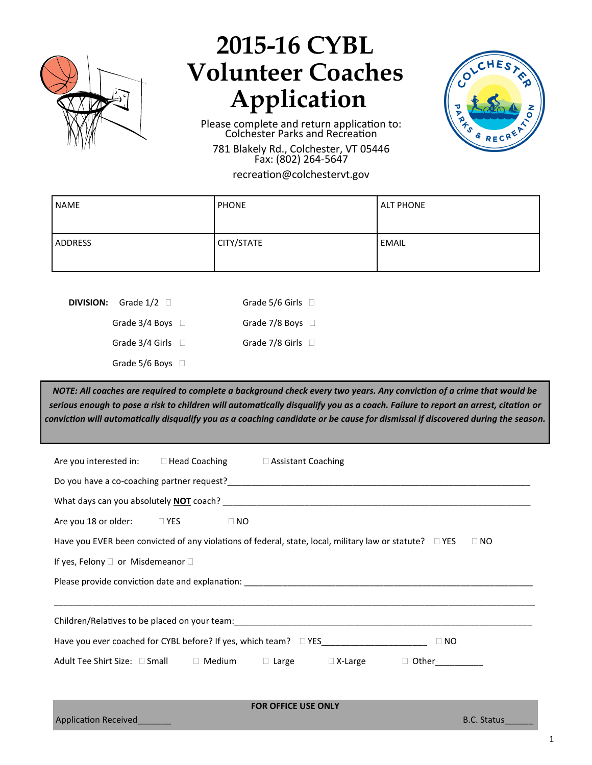

## **2015-16 CYBL Volunteer Coaches Application**

Please complete and return application to: Colchester Parks and Recreation

781 Blakely Rd., Colchester, VT 05446 Fax: (802) 264-5647

recreation@colchestervt.gov

| <b>NAME</b>    | <b>PHONE</b> | <b>ALT PHONE</b> |
|----------------|--------------|------------------|
| <b>ADDRESS</b> | CITY/STATE   | <b>EMAIL</b>     |

**DIVISION:** Grade  $1/2$   $\Box$ 

| Grade 5/6 Girls $\Box$ |  |
|------------------------|--|
| Grade 7/8 Boys $\Box$  |  |
| Grade 7/8 Girls $\Box$ |  |

Grade 5/6 Boys  $\Box$ 

Grade  $3/4$  Boys  $\Box$ 

Grade  $3/4$  Girls  $\Box$ 

*NOTE: All coaches are required to complete a background check every two years. Any conviction of a crime that would be serious enough to pose a risk to children will automatically disqualify you as a coach. Failure to report an arrest, citation or conviction will automatically disqualify you as a coaching candidate or be cause for dismissal if discovered during the season.*